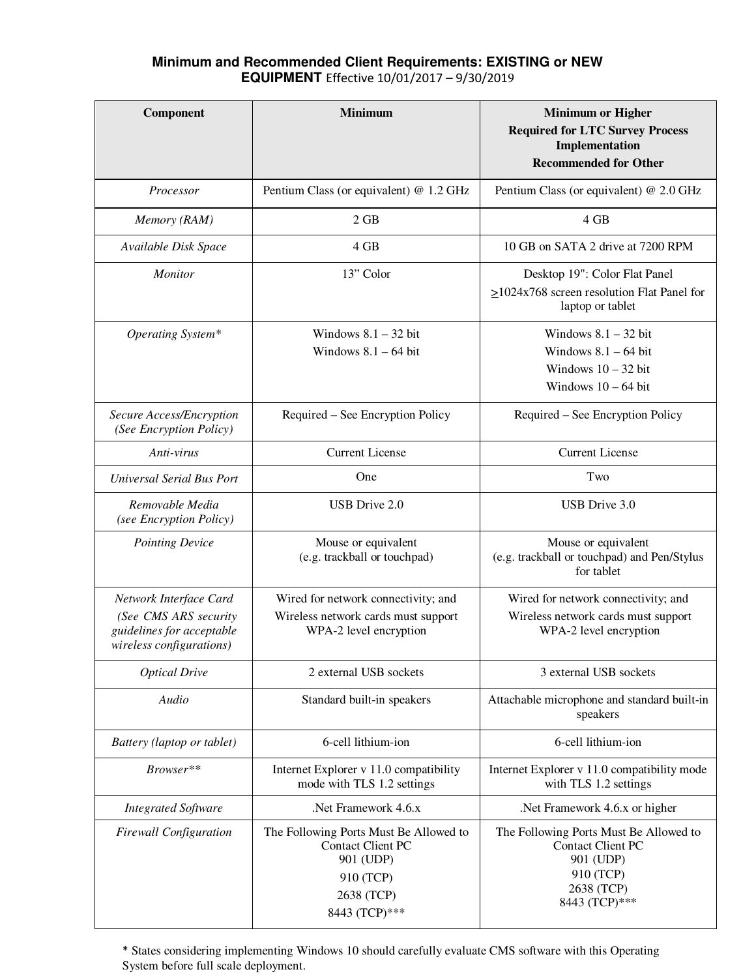## **Minimum and Recommended Client Requirements: EXISTING or NEW EQUIPMENT** Effective 10/01/2017 – 9/30/2019

| Component                                                                                                | <b>Minimum</b>                                                                                                              | <b>Minimum or Higher</b><br><b>Required for LTC Survey Process</b><br>Implementation<br><b>Recommended for Other</b>        |
|----------------------------------------------------------------------------------------------------------|-----------------------------------------------------------------------------------------------------------------------------|-----------------------------------------------------------------------------------------------------------------------------|
| Processor                                                                                                | Pentium Class (or equivalent) @ 1.2 GHz                                                                                     | Pentium Class (or equivalent) @ 2.0 GHz                                                                                     |
| Memory (RAM)                                                                                             | 2 GB                                                                                                                        | 4 GB                                                                                                                        |
| Available Disk Space                                                                                     | 4 GB                                                                                                                        | 10 GB on SATA 2 drive at 7200 RPM                                                                                           |
| <b>Monitor</b>                                                                                           | 13" Color                                                                                                                   | Desktop 19": Color Flat Panel<br>$\geq$ 1024x768 screen resolution Flat Panel for<br>laptop or tablet                       |
| Operating System*                                                                                        | Windows $8.1 - 32$ bit<br>Windows $8.1 - 64$ bit                                                                            | Windows $8.1 - 32$ bit<br>Windows $8.1 - 64$ bit<br>Windows $10 - 32$ bit<br>Windows $10 - 64$ bit                          |
| Secure Access/Encryption<br>(See Encryption Policy)                                                      | Required – See Encryption Policy                                                                                            | Required – See Encryption Policy                                                                                            |
| Anti-virus                                                                                               | <b>Current License</b>                                                                                                      | <b>Current License</b>                                                                                                      |
| Universal Serial Bus Port                                                                                | One                                                                                                                         | Two                                                                                                                         |
| Removable Media<br>(see Encryption Policy)                                                               | USB Drive 2.0                                                                                                               | USB Drive 3.0                                                                                                               |
| <b>Pointing Device</b>                                                                                   | Mouse or equivalent<br>(e.g. trackball or touchpad)                                                                         | Mouse or equivalent<br>(e.g. trackball or touchpad) and Pen/Stylus<br>for tablet                                            |
| Network Interface Card<br>(See CMS ARS security<br>guidelines for acceptable<br>wireless configurations) | Wired for network connectivity; and<br>Wireless network cards must support<br>WPA-2 level encryption                        | Wired for network connectivity; and<br>Wireless network cards must support<br>WPA-2 level encryption                        |
| <b>Optical Drive</b>                                                                                     | 2 external USB sockets                                                                                                      | 3 external USB sockets                                                                                                      |
| Audio                                                                                                    | Standard built-in speakers                                                                                                  | Attachable microphone and standard built-in<br>speakers                                                                     |
| Battery (laptop or tablet)                                                                               | 6-cell lithium-ion                                                                                                          | 6-cell lithium-ion                                                                                                          |
| Browser**                                                                                                | Internet Explorer v 11.0 compatibility<br>mode with TLS 1.2 settings                                                        | Internet Explorer v 11.0 compatibility mode<br>with TLS 1.2 settings                                                        |
| <b>Integrated Software</b>                                                                               | Net Framework 4.6.x                                                                                                         | .Net Framework 4.6.x or higher                                                                                              |
| <b>Firewall Configuration</b>                                                                            | The Following Ports Must Be Allowed to<br><b>Contact Client PC</b><br>901 (UDP)<br>910 (TCP)<br>2638 (TCP)<br>8443 (TCP)*** | The Following Ports Must Be Allowed to<br><b>Contact Client PC</b><br>901 (UDP)<br>910 (TCP)<br>2638 (TCP)<br>8443 (TCP)*** |

\* States considering implementing Windows 10 should carefully evaluate CMS software with this Operating System before full scale deployment.